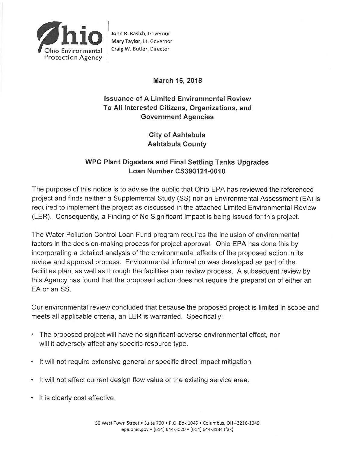

John R. Kasich, Governor Mary Taylor, Lt. Governor Craig W. Butler, Director

## March 16, 2018

# **Issuance of A Limited Environmental Review** To All Interested Citizens, Organizations, and **Government Agencies**

**City of Ashtabula Ashtabula County** 

## **WPC Plant Digesters and Final Settling Tanks Upgrades** Loan Number CS390121-0010

The purpose of this notice is to advise the public that Ohio EPA has reviewed the referenced project and finds neither a Supplemental Study (SS) nor an Environmental Assessment (EA) is required to implement the project as discussed in the attached Limited Environmental Review (LER). Consequently, a Finding of No Significant Impact is being issued for this project.

The Water Pollution Control Loan Fund program requires the inclusion of environmental factors in the decision-making process for project approval. Ohio EPA has done this by incorporating a detailed analysis of the environmental effects of the proposed action in its review and approval process. Environmental information was developed as part of the facilities plan, as well as through the facilities plan review process. A subsequent review by this Agency has found that the proposed action does not require the preparation of either an EA or an SS.

Our environmental review concluded that because the proposed project is limited in scope and meets all applicable criteria, an LER is warranted. Specifically:

- The proposed project will have no significant adverse environmental effect, nor will it adversely affect any specific resource type.
- It will not require extensive general or specific direct impact mitigation.
- It will not affect current design flow value or the existing service area.
- It is clearly cost effective.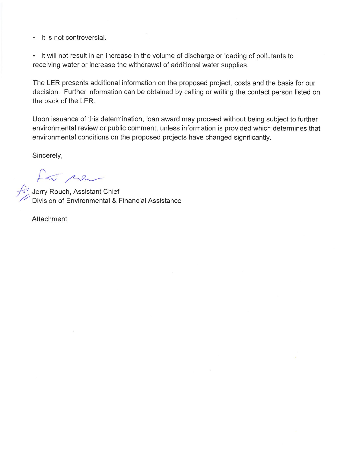• It is not controversial.

• It will not result in an increase in the volume of discharge or loading of pollutants to receiving water or increase the withdrawal of additional water supplies.

The LER presents additional information on the proposed project, costs and the basis for our decision. Further information can be obtained by calling or writing the contact person listed on the back of the LER.

Upon issuance of this determination, loan award may proceed without being subject to further environmental review or public comment, unless information is provided which determines that environmental conditions on the proposed projects have changed significantly.

Sincerely,

and the property Rouch, Assistant Chief<br>Division of Environmental & Financial Assistance

Attachment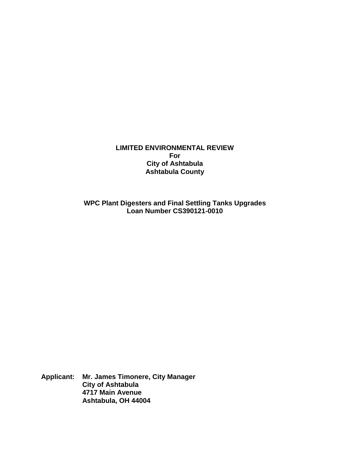**LIMITED ENVIRONMENTAL REVIEW For City of Ashtabula Ashtabula County**

**WPC Plant Digesters and Final Settling Tanks Upgrades Loan Number CS390121-0010**

**Applicant: Mr. James Timonere, City Manager City of Ashtabula 4717 Main Avenue Ashtabula, OH 44004**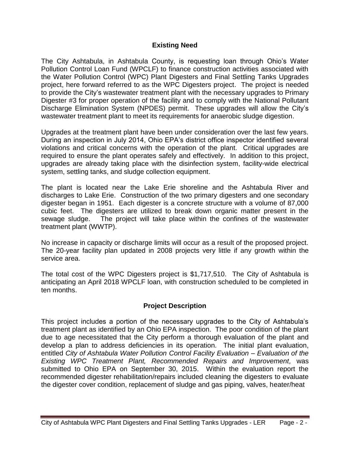#### **Existing Need**

The City Ashtabula, in Ashtabula County, is requesting loan through Ohio's Water Pollution Control Loan Fund (WPCLF) to finance construction activities associated with the Water Pollution Control (WPC) Plant Digesters and Final Settling Tanks Upgrades project, here forward referred to as the WPC Digesters project. The project is needed to provide the City's wastewater treatment plant with the necessary upgrades to Primary Digester #3 for proper operation of the facility and to comply with the National Pollutant Discharge Elimination System (NPDES) permit. These upgrades will allow the City's wastewater treatment plant to meet its requirements for anaerobic sludge digestion.

Upgrades at the treatment plant have been under consideration over the last few years. During an inspection in July 2014, Ohio EPA's district office inspector identified several violations and critical concerns with the operation of the plant. Critical upgrades are required to ensure the plant operates safely and effectively. In addition to this project, upgrades are already taking place with the disinfection system, facility-wide electrical system, settling tanks, and sludge collection equipment.

The plant is located near the Lake Erie shoreline and the Ashtabula River and discharges to Lake Erie. Construction of the two primary digesters and one secondary digester began in 1951. Each digester is a concrete structure with a volume of 87,000 cubic feet. The digesters are utilized to break down organic matter present in the sewage sludge. The project will take place within the confines of the wastewater treatment plant (WWTP).

No increase in capacity or discharge limits will occur as a result of the proposed project. The 20-year facility plan updated in 2008 projects very little if any growth within the service area.

The total cost of the WPC Digesters project is \$1,717,510. The City of Ashtabula is anticipating an April 2018 WPCLF loan, with construction scheduled to be completed in ten months.

### **Project Description**

This project includes a portion of the necessary upgrades to the City of Ashtabula's treatment plant as identified by an Ohio EPA inspection. The poor condition of the plant due to age necessitated that the City perform a thorough evaluation of the plant and develop a plan to address deficiencies in its operation. The initial plant evaluation, entitled *City of Ashtabula Water Pollution Control Facility Evaluation – Evaluation of the Existing WPC Treatment Plant, Recommended Repairs and Improvement,* was submitted to Ohio EPA on September 30, 2015. Within the evaluation report the recommended digester rehabilitation/repairs included cleaning the digesters to evaluate the digester cover condition, replacement of sludge and gas piping, valves, heater/heat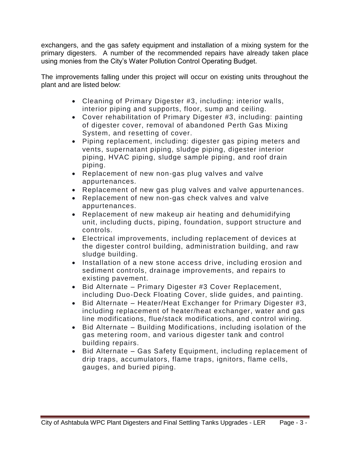exchangers, and the gas safety equipment and installation of a mixing system for the primary digesters. A number of the recommended repairs have already taken place using monies from the City's Water Pollution Control Operating Budget.

The improvements falling under this project will occur on existing units throughout the plant and are listed below:

- Cleaning of Primary Digester #3, including: interior walls, interior piping and supports, floor, sump and ceiling.
- Cover rehabilitation of Primary Digester #3, including: painting of digester cover, removal of abandoned Perth Gas Mixing System, and resetting of cover.
- Piping replacement, including: digester gas piping meters and vents, supernatant piping, sludge piping, digester interior piping, HVAC piping, sludge sample piping, and roof drain piping.
- Replacement of new non-gas plug valves and valve appurtenances.
- Replacement of new gas plug valves and valve appurtenances.
- Replacement of new non-gas check valves and valve appurtenances.
- Replacement of new makeup air heating and dehumidifying unit, including ducts, piping, foundation, support structure and controls.
- Electrical improvements, including replacement of devices at the digester control building, administration building, and raw sludge building.
- Installation of a new stone access drive, including erosion and sediment controls, drainage improvements, and repairs to existing pavement.
- Bid Alternate Primary Digester #3 Cover Replacement, including Duo-Deck Floating Cover, slide guides, and painting.
- Bid Alternate Heater/Heat Exchanger for Primary Digester #3, including replacement of heater/heat exchanger, water and gas line modifications, flue/stack modifications, and control wiring.
- Bid Alternate Building Modifications, including isolation of the gas metering room, and various digester tank and control building repairs.
- Bid Alternate Gas Safety Equipment, including replacement of drip traps, accumulators, flame traps, ignitors, flame cells, gauges, and buried piping.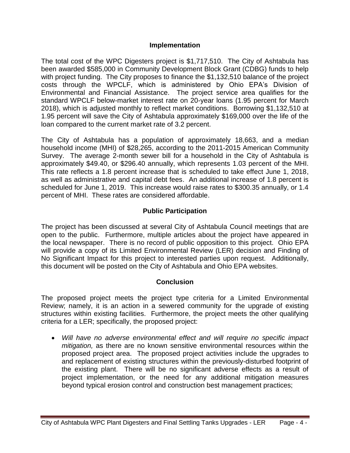#### **Implementation**

The total cost of the WPC Digesters project is \$1,717,510. The City of Ashtabula has been awarded \$585,000 in Community Development Block Grant (CDBG) funds to help with project funding. The City proposes to finance the \$1,132,510 balance of the project costs through the WPCLF, which is administered by Ohio EPA's Division of Environmental and Financial Assistance. The project service area qualifies for the standard WPCLF below-market interest rate on 20-year loans (1.95 percent for March 2018), which is adjusted monthly to reflect market conditions. Borrowing \$1,132,510 at 1.95 percent will save the City of Ashtabula approximately \$169,000 over the life of the loan compared to the current market rate of 3.2 percent.

The City of Ashtabula has a population of approximately 18,663, and a median household income (MHI) of \$28,265, according to the 2011-2015 American Community Survey. The average 2-month sewer bill for a household in the City of Ashtabula is approximately \$49.40, or \$296.40 annually, which represents 1.03 percent of the MHI. This rate reflects a 1.8 percent increase that is scheduled to take effect June 1, 2018, as well as administrative and capital debt fees. An additional increase of 1.8 percent is scheduled for June 1, 2019. This increase would raise rates to \$300.35 annually, or 1.4 percent of MHI. These rates are considered affordable.

### **Public Participation**

The project has been discussed at several City of Ashtabula Council meetings that are open to the public. Furthermore, multiple articles about the project have appeared in the local newspaper. There is no record of public opposition to this project. Ohio EPA will provide a copy of its Limited Environmental Review (LER) decision and Finding of No Significant Impact for this project to interested parties upon request. Additionally, this document will be posted on the City of Ashtabula and Ohio EPA websites.

#### **Conclusion**

The proposed project meets the project type criteria for a Limited Environmental Review; namely, it is an action in a sewered community for the upgrade of existing structures within existing facilities. Furthermore, the project meets the other qualifying criteria for a LER; specifically, the proposed project:

• *Will have no adverse environmental effect and will require no specific impact mitigation,* as there are no known sensitive environmental resources within the proposed project area. The proposed project activities include the upgrades to and replacement of existing structures within the previously-disturbed footprint of the existing plant. There will be no significant adverse effects as a result of project implementation, or the need for any additional mitigation measures beyond typical erosion control and construction best management practices;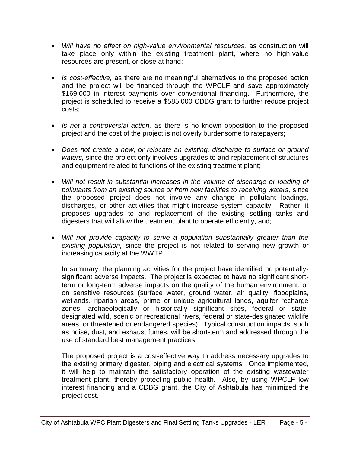- *Will have no effect on high-value environmental resources,* as construction will take place only within the existing treatment plant, where no high-value resources are present, or close at hand;
- *Is cost-effective,* as there are no meaningful alternatives to the proposed action and the project will be financed through the WPCLF and save approximately \$169,000 in interest payments over conventional financing. Furthermore, the project is scheduled to receive a \$585,000 CDBG grant to further reduce project costs;
- *Is not a controversial action,* as there is no known opposition to the proposed project and the cost of the project is not overly burdensome to ratepayers;
- *Does not create a new, or relocate an existing, discharge to surface or ground waters,* since the project only involves upgrades to and replacement of structures and equipment related to functions of the existing treatment plant;
- *Will not result in substantial increases in the volume of discharge or loading of pollutants from an existing source or from new facilities to receiving waters,* since the proposed project does not involve any change in pollutant loadings, discharges, or other activities that might increase system capacity. Rather, it proposes upgrades to and replacement of the existing settling tanks and digesters that will allow the treatment plant to operate efficiently, and;
- *Will not provide capacity to serve a population substantially greater than the existing population,* since the project is not related to serving new growth or increasing capacity at the WWTP.

In summary, the planning activities for the project have identified no potentiallysignificant adverse impacts. The project is expected to have no significant shortterm or long-term adverse impacts on the quality of the human environment, or on sensitive resources (surface water, ground water, air quality, floodplains, wetlands, riparian areas, prime or unique agricultural lands, aquifer recharge zones, archaeologically or historically significant sites, federal or statedesignated wild, scenic or recreational rivers, federal or state-designated wildlife areas, or threatened or endangered species). Typical construction impacts, such as noise, dust, and exhaust fumes, will be short-term and addressed through the use of standard best management practices.

The proposed project is a cost-effective way to address necessary upgrades to the existing primary digester, piping and electrical systems. Once implemented, it will help to maintain the satisfactory operation of the existing wastewater treatment plant, thereby protecting public health. Also, by using WPCLF low interest financing and a CDBG grant, the City of Ashtabula has minimized the project cost.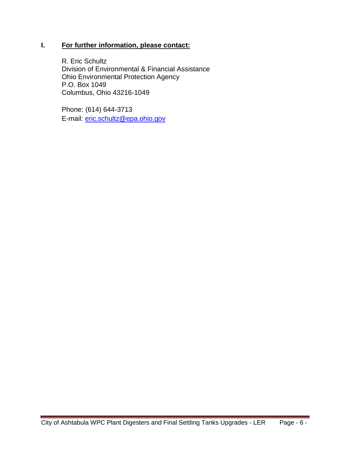### **I. For further information, please contact:**

R. Eric Schultz Division of Environmental & Financial Assistance Ohio Environmental Protection Agency P.O. Box 1049 Columbus, Ohio 43216-1049

Phone: (614) 644-3713 E-mail: [eric.schultz@epa.ohio.gov](mailto:eric.schultz@epa.ohio.gov)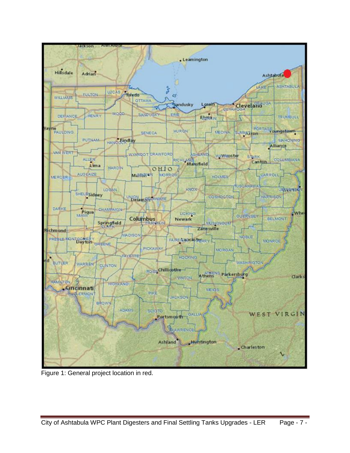

Figure 1: General project location in red.